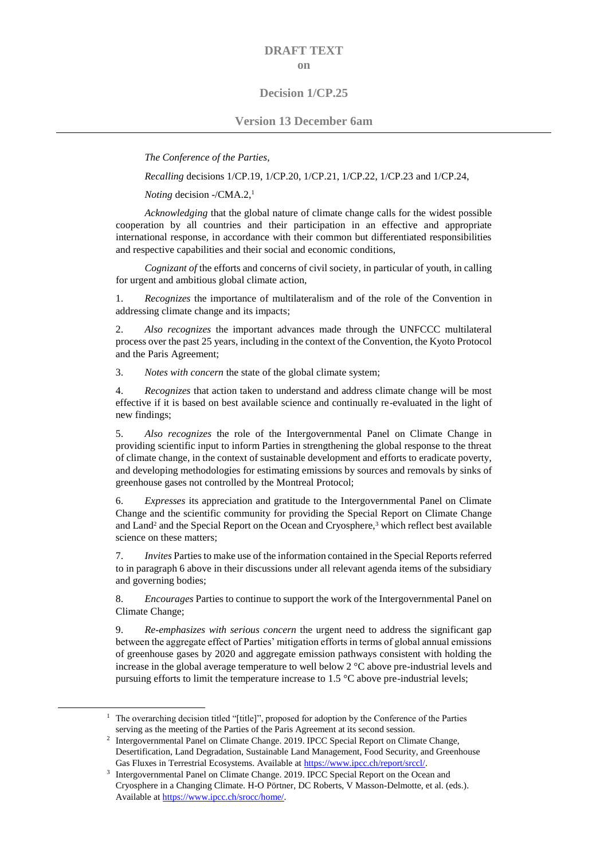# **DRAFT TEXT on**

## **Decision 1/CP.25**

### **Version 13 December 6am**

*The Conference of the Parties*,

*Recalling* decisions 1/CP.19, 1/CP.20, 1/CP.21, 1/CP.22, 1/CP.23 and 1/CP.24,

*Noting* decision -/CMA.2, 1

*Acknowledging* that the global nature of climate change calls for the widest possible cooperation by all countries and their participation in an effective and appropriate international response, in accordance with their common but differentiated responsibilities and respective capabilities and their social and economic conditions,

*Cognizant of the efforts and concerns of civil society, in particular of youth, in calling* for urgent and ambitious global climate action,

1. *Recognizes* the importance of multilateralism and of the role of the Convention in addressing climate change and its impacts;

2. *Also recognizes* the important advances made through the UNFCCC multilateral process over the past 25 years, including in the context of the Convention, the Kyoto Protocol and the Paris Agreement;

3. *Notes with concern* the state of the global climate system;

4. *Recognizes* that action taken to understand and address climate change will be most effective if it is based on best available science and continually re-evaluated in the light of new findings;

5. *Also recognizes* the role of the Intergovernmental Panel on Climate Change in providing scientific input to inform Parties in strengthening the global response to the threat of climate change, in the context of sustainable development and efforts to eradicate poverty, and developing methodologies for estimating emissions by sources and removals by sinks of greenhouse gases not controlled by the Montreal Protocol;

6. *Expresses* its appreciation and gratitude to the Intergovernmental Panel on Climate Change and the scientific community for providing the Special Report on Climate Change and Land<sup>2</sup> and the Special Report on the Ocean and Cryosphere,<sup>3</sup> which reflect best available science on these matters;

7. *Invites* Parties to make use of the information contained in the Special Reports referred to in paragraph 6 above in their discussions under all relevant agenda items of the subsidiary and governing bodies;

8. *Encourages* Parties to continue to support the work of the Intergovernmental Panel on Climate Change;

9. *Re-emphasizes with serious concern* the urgent need to address the significant gap between the aggregate effect of Parties' mitigation efforts in terms of global annual emissions of greenhouse gases by 2020 and aggregate emission pathways consistent with holding the increase in the global average temperature to well below 2 °C above pre-industrial levels and pursuing efforts to limit the temperature increase to  $1.5 \degree C$  above pre-industrial levels;

1

<sup>&</sup>lt;sup>1</sup> The overarching decision titled "[title]", proposed for adoption by the Conference of the Parties serving as the meeting of the Parties of the Paris Agreement at its second session.

<sup>&</sup>lt;sup>2</sup> Intergovernmental Panel on Climate Change. 2019. IPCC Special Report on Climate Change, Desertification, Land Degradation, Sustainable Land Management, Food Security, and Greenhouse Gas Fluxes in Terrestrial Ecosystems. Available at https://www.ipcc.ch/report/srccl/.

<sup>&</sup>lt;sup>3</sup> Intergovernmental Panel on Climate Change. 2019. IPCC Special Report on the Ocean and Cryosphere in a Changing Climate. H-O Pörtner, DC Roberts, V Masson-Delmotte, et al. (eds.). Available at [https://www.ipcc.ch/srocc/home/.](https://www.ipcc.ch/srocc/home/)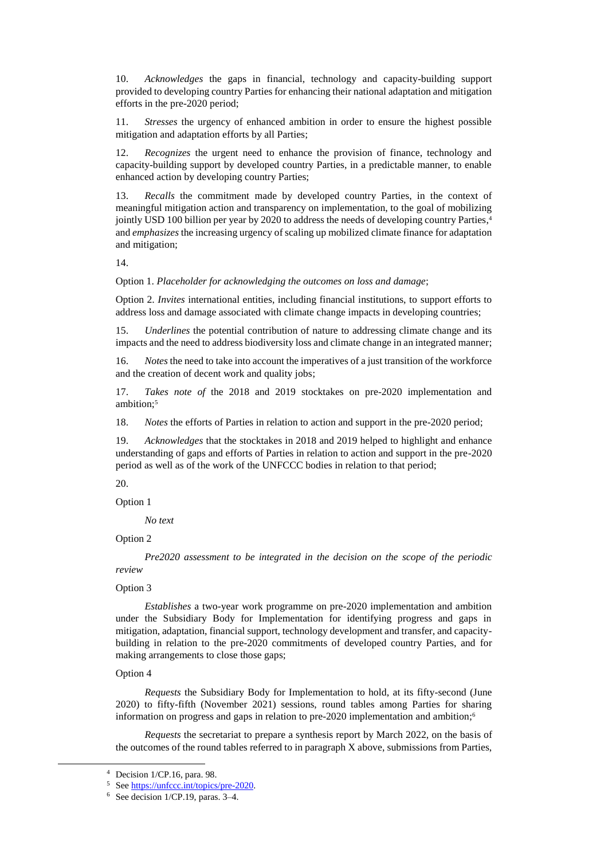10. *Acknowledges* the gaps in financial, technology and capacity-building support provided to developing country Parties for enhancing their national adaptation and mitigation efforts in the pre-2020 period;

11. *Stresses* the urgency of enhanced ambition in order to ensure the highest possible mitigation and adaptation efforts by all Parties;

12. *Recognizes* the urgent need to enhance the provision of finance, technology and capacity-building support by developed country Parties, in a predictable manner, to enable enhanced action by developing country Parties;

13. *Recalls* the commitment made by developed country Parties, in the context of meaningful mitigation action and transparency on implementation, to the goal of mobilizing jointly USD 100 billion per year by 2020 to address the needs of developing country Parties, 4 and *emphasizes* the increasing urgency of scaling up mobilized climate finance for adaptation and mitigation;

14.

Option 1. *Placeholder for acknowledging the outcomes on loss and damage*;

Option 2. *Invites* international entities, including financial institutions, to support efforts to address loss and damage associated with climate change impacts in developing countries;

15. *Underlines* the potential contribution of nature to addressing climate change and its impacts and the need to address biodiversity loss and climate change in an integrated manner;

16. *Notes* the need to take into account the imperatives of a just transition of the workforce and the creation of decent work and quality jobs;

17. *Takes note of* the 2018 and 2019 stocktakes on pre-2020 implementation and ambition; 5

18. *Notes* the efforts of Parties in relation to action and support in the pre-2020 period;

19. *Acknowledges* that the stocktakes in 2018 and 2019 helped to highlight and enhance understanding of gaps and efforts of Parties in relation to action and support in the pre-2020 period as well as of the work of the UNFCCC bodies in relation to that period;

20.

## Option 1

*No text*

### Option 2

*Pre2020 assessment to be integrated in the decision on the scope of the periodic review*

### Option 3

*Establishes* a two-year work programme on pre-2020 implementation and ambition under the Subsidiary Body for Implementation for identifying progress and gaps in mitigation, adaptation, financial support, technology development and transfer, and capacitybuilding in relation to the pre-2020 commitments of developed country Parties, and for making arrangements to close those gaps;

### Option 4

-

*Requests* the Subsidiary Body for Implementation to hold, at its fifty-second (June 2020) to fifty-fifth (November 2021) sessions, round tables among Parties for sharing information on progress and gaps in relation to pre-2020 implementation and ambition; 6

*Requests* the secretariat to prepare a synthesis report by March 2022, on the basis of the outcomes of the round tables referred to in paragraph X above, submissions from Parties,

<sup>4</sup> Decision 1/CP.16, para. 98.

<sup>5</sup> Se[e https://unfccc.int/topics/pre-2020.](https://unfccc.int/topics/pre-2020) 

<sup>6</sup> See decision 1/CP.19, paras. 3–4.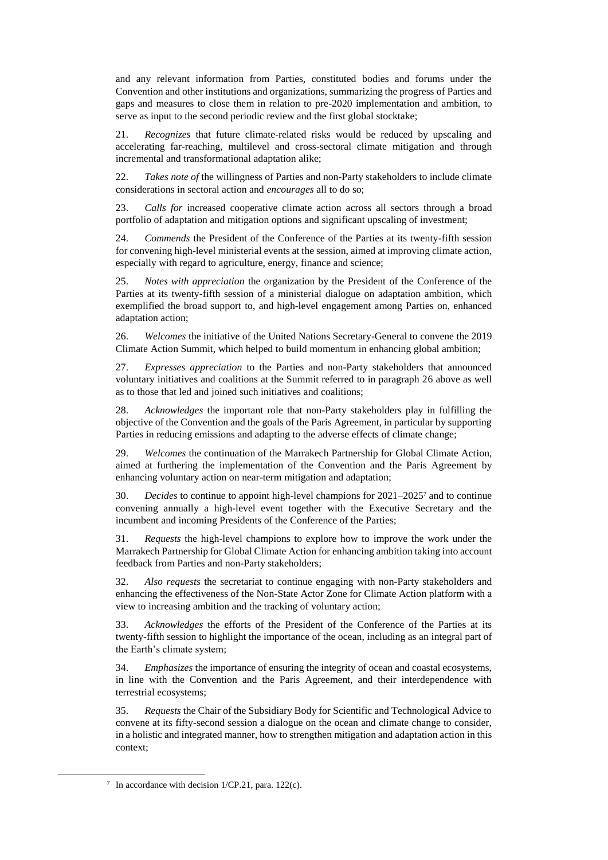and any relevant information from Parties, constituted bodies and forums under the Convention and other institutions and organizations, summarizing the progress of Parties and gaps and measures to close them in relation to pre-2020 implementation and ambition, to serve as input to the second periodic review and the first global stocktake;

21. *Recognizes* that future climate-related risks would be reduced by upscaling and accelerating far-reaching, multilevel and cross-sectoral climate mitigation and through incremental and transformational adaptation alike;

22. *Takes note of* the willingness of Parties and non-Party stakeholders to include climate considerations in sectoral action and *encourages* all to do so;

23. *Calls for* increased cooperative climate action across all sectors through a broad portfolio of adaptation and mitigation options and significant upscaling of investment;

24. *Commends* the President of the Conference of the Parties at its twenty-fifth session for convening high-level ministerial events at the session, aimed at improving climate action, especially with regard to agriculture, energy, finance and science;

25. *Notes with appreciation* the organization by the President of the Conference of the Parties at its twenty-fifth session of a ministerial dialogue on adaptation ambition, which exemplified the broad support to, and high-level engagement among Parties on, enhanced adaptation action;

26. *Welcomes* the initiative of the United Nations Secretary-General to convene the 2019 Climate Action Summit, which helped to build momentum in enhancing global ambition;

27. *Expresses appreciation* to the Parties and non-Party stakeholders that announced voluntary initiatives and coalitions at the Summit referred to in paragraph 26 above as well as to those that led and joined such initiatives and coalitions;

28. *Acknowledges* the important role that non-Party stakeholders play in fulfilling the objective of the Convention and the goals of the Paris Agreement, in particular by supporting Parties in reducing emissions and adapting to the adverse effects of climate change;

29. *Welcomes* the continuation of the Marrakech Partnership for Global Climate Action, aimed at furthering the implementation of the Convention and the Paris Agreement by enhancing voluntary action on near-term mitigation and adaptation;

30. *Decides* to continue to appoint high-level champions for 2021–2025<sup>7</sup> and to continue convening annually a high-level event together with the Executive Secretary and the incumbent and incoming Presidents of the Conference of the Parties;

31. *Requests* the high-level champions to explore how to improve the work under the Marrakech Partnership for Global Climate Action for enhancing ambition taking into account feedback from Parties and non-Party stakeholders;

32. *Also requests* the secretariat to continue engaging with non-Party stakeholders and enhancing the effectiveness of the Non-State Actor Zone for Climate Action platform with a view to increasing ambition and the tracking of voluntary action;

33. *Acknowledges* the efforts of the President of the Conference of the Parties at its twenty-fifth session to highlight the importance of the ocean, including as an integral part of the Earth's climate system;

34. *Emphasizes* the importance of ensuring the integrity of ocean and coastal ecosystems, in line with the Convention and the Paris Agreement, and their interdependence with terrestrial ecosystems;

35. *Requests* the Chair of the Subsidiary Body for Scientific and Technological Advice to convene at its fifty-second session a dialogue on the ocean and climate change to consider, in a holistic and integrated manner, how to strengthen mitigation and adaptation action in this context;

-

<sup>7</sup> In accordance with decision 1/CP.21, para. 122(c).